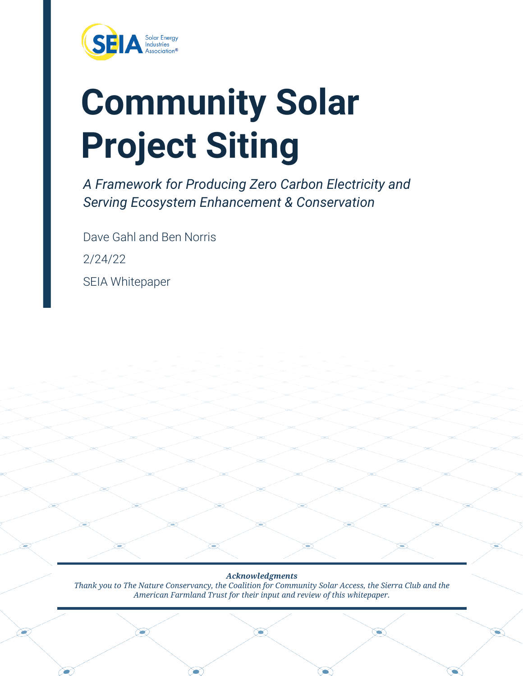

# **Community Solar Project Siting**

*A Framework for Producing Zero Carbon Electricity and Serving Ecosystem Enhancement & Conservation* 

Dave Gahl and Ben Norris 2/24/22 SEIA Whitepaper

*Acknowledgments Thank you to The Nature Conservancy, the Coalition for Community Solar Access, the Sierra Club and the American Farmland Trust for their input and review of this whitepaper.*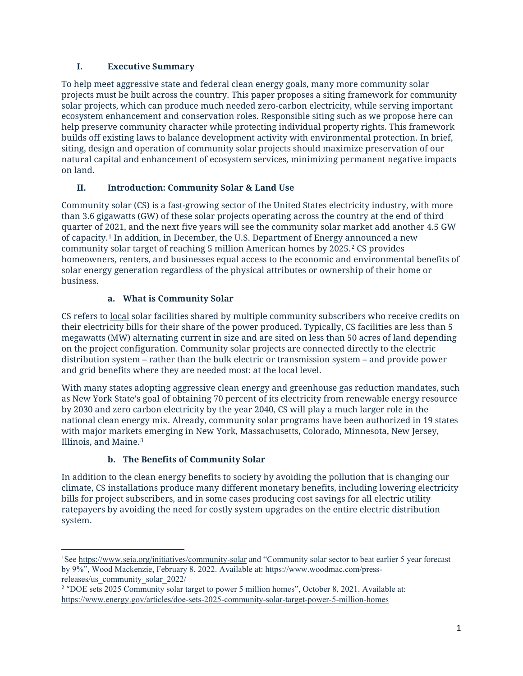# **I. Executive Summary**

To help meet aggressive state and federal clean energy goals, many more community solar projects must be built across the country. This paper proposes a siting framework for community solar projects, which can produce much needed zero-carbon electricity, while serving important ecosystem enhancement and conservation roles. Responsible siting such as we propose here can help preserve community character while protecting individual property rights. This framework builds off existing laws to balance development activity with environmental protection. In brief, siting, design and operation of community solar projects should maximize preservation of our natural capital and enhancement of ecosystem services, minimizing permanent negative impacts on land.

# **II. Introduction: Community Solar & Land Use**

Community solar (CS) is a fast-growing sector of the United States electricity industry, with more than 3.6 gigawatts (GW) of these solar projects operating across the country at the end of third quarter of 2021, and the next five years will see the community solar market add another 4.5 GW of capacity.[1](#page-1-0) In addition, in December, the U.S. Department of Energy announced a new community solar target of reaching 5 million American homes by 2025.[2](#page-1-1) CS provides homeowners, renters, and businesses equal access to the economic and environmental benefits of solar energy generation regardless of the physical attributes or ownership of their home or business.

# **a. What is Community Solar**

CS refers to local solar facilities shared by multiple community subscribers who receive credits on their electricity bills for their share of the power produced. Typically, CS facilities are less than 5 megawatts (MW) alternating current in size and are sited on less than 50 acres of land depending on the project configuration. Community solar projects are connected directly to the electric distribution system – rather than the bulk electric or transmission system – and provide power and grid benefits where they are needed most: at the local level.

With many states adopting aggressive clean energy and greenhouse gas reduction mandates, such as New York State's goal of obtaining 70 percent of its electricity from renewable energy resource by 2030 and zero carbon electricity by the year 2040, CS will play a much larger role in the national clean energy mix. Already, community solar programs have been authorized in 19 states with major markets emerging in New York, Massachusetts, Colorado, Minnesota, New Jersey, Illinois, and Maine.[3](#page-1-2)

# **b. The Benefits of Community Solar**

In addition to the clean energy benefits to society by avoiding the pollution that is changing our climate, CS installations produce many different monetary benefits, including lowering electricity bills for project subscribers, and in some cases producing cost savings for all electric utility ratepayers by avoiding the need for costly system upgrades on the entire electric distribution system.

<span id="page-1-0"></span><sup>&</sup>lt;sup>1</sup>See<https://www.seia.org/initiatives/community-solar> and "Community solar sector to beat earlier 5 year forecast by 9%", Wood Mackenzie, February 8, 2022. Available at: https://www.woodmac.com/pressreleases/us\_community\_solar\_2022/

<span id="page-1-2"></span><span id="page-1-1"></span><sup>&</sup>lt;sup>2</sup> "DOE sets 2025 Community solar target to power 5 million homes", October 8, 2021. Available at: <https://www.energy.gov/articles/doe-sets-2025-community-solar-target-power-5-million-homes>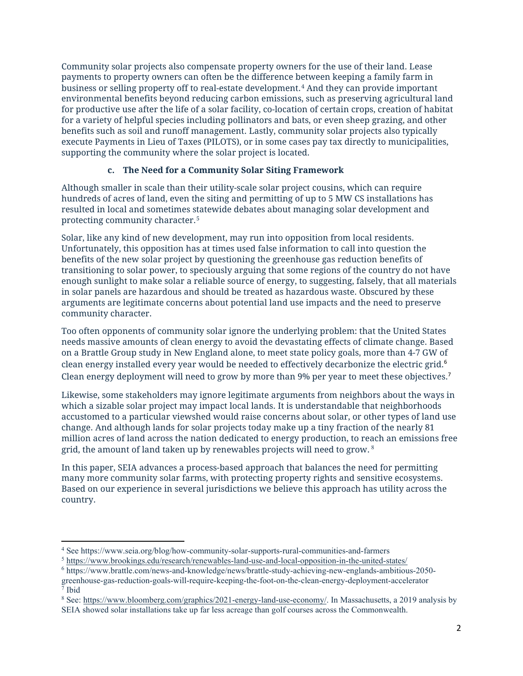Community solar projects also compensate property owners for the use of their land. Lease payments to property owners can often be the difference between keeping a family farm in business or selling property off to real-estate development.[4](#page-2-0) And they can provide important environmental benefits beyond reducing carbon emissions, such as preserving agricultural land for productive use after the life of a solar facility, co-location of certain crops, creation of habitat for a variety of helpful species including pollinators and bats, or even sheep grazing, and other benefits such as soil and runoff management. Lastly, community solar projects also typically execute Payments in Lieu of Taxes (PILOTS), or in some cases pay tax directly to municipalities, supporting the community where the solar project is located.

#### **c. The Need for a Community Solar Siting Framework**

Although smaller in scale than their utility-scale solar project cousins, which can require hundreds of acres of land, even the siting and permitting of up to 5 MW CS installations has resulted in local and sometimes statewide debates about managing solar development and protecting community character.[5](#page-2-1)

Solar, like any kind of new development, may run into opposition from local residents. Unfortunately, this opposition has at times used false information to call into question the benefits of the new solar project by questioning the greenhouse gas reduction benefits of transitioning to solar power, to speciously arguing that some regions of the country do not have enough sunlight to make solar a reliable source of energy, to suggesting, falsely, that all materials in solar panels are hazardous and should be treated as hazardous waste. Obscured by these arguments are legitimate concerns about potential land use impacts and the need to preserve community character.

Too often opponents of community solar ignore the underlying problem: that the United States needs massive amounts of clean energy to avoid the devastating effects of climate change. Based on a Brattle Group study in New England alone, to meet state policy goals, more than 4-7 GW of clean energy installed every year would be needed to effectively decarbonize the electric grid. 6 Clean energy deployment will need to grow by more than 9% per year to meet these objectives.<sup>7</sup>

Likewise, some stakeholders may ignore legitimate arguments from neighbors about the ways in which a sizable solar project may impact local lands. It is understandable that neighborhoods accustomed to a particular viewshed would raise concerns about solar, or other types of land use change. And although lands for solar projects today make up a tiny fraction of the nearly 81 million acres of land across the nation dedicated to energy production, to reach an emissions free grid, the amount of land taken up by renewables projects will need to grow.  $8$ 

In this paper, SEIA advances a process-based approach that balances the need for permitting many more community solar farms, with protecting property rights and sensitive ecosystems. Based on our experience in several jurisdictions we believe this approach has utility across the country.

<span id="page-2-0"></span><sup>4</sup> See https://www.seia.org/blog/how-community-solar-supports-rural-communities-and-farmers

<span id="page-2-1"></span><sup>5</sup> <https://www.brookings.edu/research/renewables-land-use-and-local-opposition-in-the-united-states/>

<sup>6</sup> https://www.brattle.com/news-and-knowledge/news/brattle-study-achieving-new-englands-ambitious-2050 greenhouse-gas-reduction-goals-will-require-keeping-the-foot-on-the-clean-energy-deployment-accelerator  $\bar{7}$  Ibid

<sup>&</sup>lt;sup>8</sup> See: [https://www.bloomberg.com/graphics/2021-energy-land-use-economy/.](https://www.bloomberg.com/graphics/2021-energy-land-use-economy/) In Massachusetts, a 2019 analysis by SEIA showed solar installations take up far less acreage than golf courses across the Commonwealth.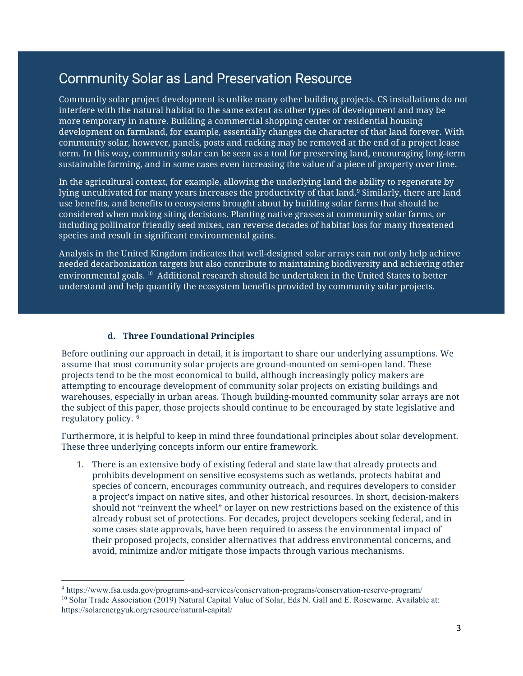# Community Solar as Land Preservation Resource

Community solar project development is unlike many other building projects. CS installations do not interfere with the natural habitat to the same extent as other types of development and may be more temporary in nature. Building a commercial shopping center or residential housing development on farmland, for example, essentially changes the character of that land forever. With community solar, however, panels, posts and racking may be removed at the end of a project lease term. In this way, community solar can be seen as a tool for preserving land, encouraging long-term sustainable farming, and in some cases even increasing the value of a piece of property over time.

In the agricultural context, for example, allowing the underlying land the ability to regenerate by lying uncultivated for many years increases the productivity of that land.<sup>9</sup> Similarly, there are land use benefits, and benefits to ecosystems brought about by building solar farms that should be considered when making siting decisions. Planting native grasses at community solar farms, or including pollinator friendly seed mixes, can reverse decades of habitat loss for many threatened species and result in significant environmental gains.

Analysis in the United Kingdom indicates that well-designed solar arrays can not only help achieve needed decarbonization targets but also contribute to maintaining biodiversity and achieving other environmental goals.<sup>10</sup> Additional research should be undertaken in the United States to better understand and help quantify the ecosystem benefits provided by community solar projects.

### **d. Three Foundational Principles**

Before outlining our approach in detail, it is important to share our underlying assumptions. We assume that most community solar projects are ground-mounted on semi-open land. These projects tend to be the most economical to build, although increasingly policy makers are attempting to encourage development of community solar projects on existing buildings and warehouses, especially in urban areas. Though building-mounted community solar arrays are not the subject of this paper, those projects should continue to be encouraged by state legislative and regulatory policy. [6](#page-3-0)

Furthermore, it is helpful to keep in mind three foundational principles about solar development. These three underlying concepts inform our entire framework.

1. There is an extensive body of existing federal and state law that already protects and prohibits development on sensitive ecosystems such as wetlands, protects habitat and species of concern, encourages community outreach, and requires developers to consider a project's impact on native sites, and other historical resources. In short, decision-makers should not "reinvent the wheel" or layer on new restrictions based on the existence of this already robust set of protections. For decades, project developers seeking federal, and in some cases state approvals, have been required to assess the environmental impact of their proposed projects, consider alternatives that address environmental concerns, and avoid, minimize and/or mitigate those impacts through various mechanisms.

<span id="page-3-0"></span><sup>9</sup> https://www.fsa.usda.gov/programs-and-services/conservation-programs/conservation-reserve-program/ <sup>10</sup> Solar Trade Association (2019) Natural Capital Value of Solar, Eds N. Gall and E. Rosewarne. Available at: https://solarenergyuk.org/resource/natural-capital/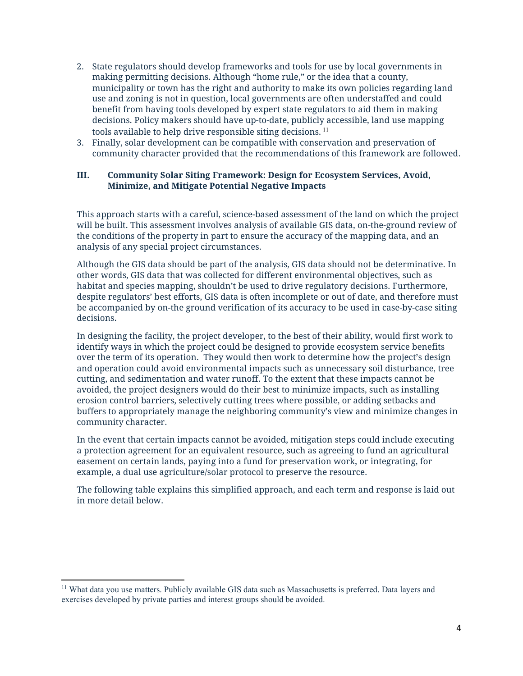- 2. State regulators should develop frameworks and tools for use by local governments in making permitting decisions. Although "home rule," or the idea that a county, municipality or town has the right and authority to make its own policies regarding land use and zoning is not in question, local governments are often understaffed and could benefit from having tools developed by expert state regulators to aid them in making decisions. Policy makers should have up-to-date, publicly accessible, land use mapping tools available to help drive responsible siting decisions.  $11$
- 3. Finally, solar development can be compatible with conservation and preservation of community character provided that the recommendations of this framework are followed.

#### **III. Community Solar Siting Framework: Design for Ecosystem Services, Avoid, Minimize, and Mitigate Potential Negative Impacts**

This approach starts with a careful, science-based assessment of the land on which the project will be built. This assessment involves analysis of available GIS data, on-the-ground review of the conditions of the property in part to ensure the accuracy of the mapping data, and an analysis of any special project circumstances.

Although the GIS data should be part of the analysis, GIS data should not be determinative. In other words, GIS data that was collected for different environmental objectives, such as habitat and species mapping, shouldn't be used to drive regulatory decisions. Furthermore, despite regulators' best efforts, GIS data is often incomplete or out of date, and therefore must be accompanied by on-the ground verification of its accuracy to be used in case-by-case siting decisions.

In designing the facility, the project developer, to the best of their ability, would first work to identify ways in which the project could be designed to provide ecosystem service benefits over the term of its operation. They would then work to determine how the project's design and operation could avoid environmental impacts such as unnecessary soil disturbance, tree cutting, and sedimentation and water runoff. To the extent that these impacts cannot be avoided, the project designers would do their best to minimize impacts, such as installing erosion control barriers, selectively cutting trees where possible, or adding setbacks and buffers to appropriately manage the neighboring community's view and minimize changes in community character.

In the event that certain impacts cannot be avoided, mitigation steps could include executing a protection agreement for an equivalent resource, such as agreeing to fund an agricultural easement on certain lands, paying into a fund for preservation work, or integrating, for example, a dual use agriculture/solar protocol to preserve the resource.

The following table explains this simplified approach, and each term and response is laid out in more detail below.

<span id="page-4-0"></span><sup>11</sup> What data you use matters. Publicly available GIS data such as Massachusetts is preferred. Data layers and exercises developed by private parties and interest groups should be avoided.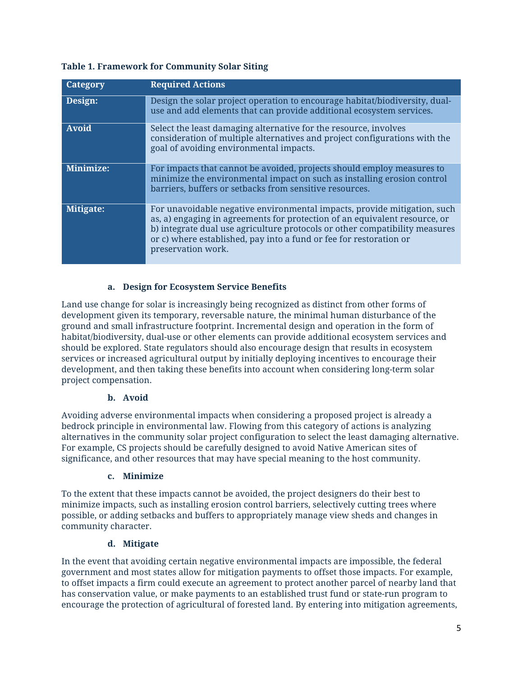#### **Table 1. Framework for Community Solar Siting**

| Category  | <b>Required Actions</b>                                                                                                                                                                                                                                                                                                           |
|-----------|-----------------------------------------------------------------------------------------------------------------------------------------------------------------------------------------------------------------------------------------------------------------------------------------------------------------------------------|
| Design:   | Design the solar project operation to encourage habitat/biodiversity, dual-<br>use and add elements that can provide additional ecosystem services.                                                                                                                                                                               |
| Avoid     | Select the least damaging alternative for the resource, involves<br>consideration of multiple alternatives and project configurations with the<br>goal of avoiding environmental impacts.                                                                                                                                         |
| Minimize: | For impacts that cannot be avoided, projects should employ measures to<br>minimize the environmental impact on such as installing erosion control<br>barriers, buffers or setbacks from sensitive resources.                                                                                                                      |
| Mitigate: | For unavoidable negative environmental impacts, provide mitigation, such<br>as, a) engaging in agreements for protection of an equivalent resource, or<br>b) integrate dual use agriculture protocols or other compatibility measures<br>or c) where established, pay into a fund or fee for restoration or<br>preservation work. |

#### **a. Design for Ecosystem Service Benefits**

Land use change for solar is increasingly being recognized as distinct from other forms of development given its temporary, reversable nature, the minimal human disturbance of the ground and small infrastructure footprint. Incremental design and operation in the form of habitat/biodiversity, dual-use or other elements can provide additional ecosystem services and should be explored. State regulators should also encourage design that results in ecosystem services or increased agricultural output by initially deploying incentives to encourage their development, and then taking these benefits into account when considering long-term solar project compensation.

#### **b. Avoid**

Avoiding adverse environmental impacts when considering a proposed project is already a bedrock principle in environmental law. Flowing from this category of actions is analyzing alternatives in the community solar project configuration to select the least damaging alternative. For example, CS projects should be carefully designed to avoid Native American sites of significance, and other resources that may have special meaning to the host community.

#### **c. Minimize**

To the extent that these impacts cannot be avoided, the project designers do their best to minimize impacts, such as installing erosion control barriers, selectively cutting trees where possible, or adding setbacks and buffers to appropriately manage view sheds and changes in community character.

#### **d. Mitigate**

In the event that avoiding certain negative environmental impacts are impossible, the federal government and most states allow for mitigation payments to offset those impacts. For example, to offset impacts a firm could execute an agreement to protect another parcel of nearby land that has conservation value, or make payments to an established trust fund or state-run program to encourage the protection of agricultural of forested land. By entering into mitigation agreements,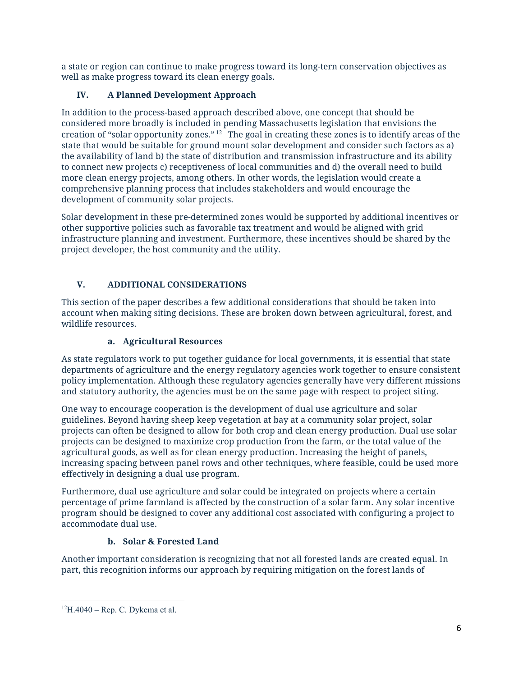a state or region can continue to make progress toward its long-tern conservation objectives as well as make progress toward its clean energy goals.

# **IV. A Planned Development Approach**

In addition to the process-based approach described above, one concept that should be considered more broadly is included in pending Massachusetts legislation that envisions the creation of "solar opportunity zones."  $^{12}$  The goal in creating these zones is to identify areas of the state that would be suitable for ground mount solar development and consider such factors as a) the availability of land b) the state of distribution and transmission infrastructure and its ability to connect new projects c) receptiveness of local communities and d) the overall need to build more clean energy projects, among others. In other words, the legislation would create a comprehensive planning process that includes stakeholders and would encourage the development of community solar projects.

Solar development in these pre-determined zones would be supported by additional incentives or other supportive policies such as favorable tax treatment and would be aligned with grid infrastructure planning and investment. Furthermore, these incentives should be shared by the project developer, the host community and the utility.

# **V. ADDITIONAL CONSIDERATIONS**

This section of the paper describes a few additional considerations that should be taken into account when making siting decisions. These are broken down between agricultural, forest, and wildlife resources.

# **a. Agricultural Resources**

As state regulators work to put together guidance for local governments, it is essential that state departments of agriculture and the energy regulatory agencies work together to ensure consistent policy implementation. Although these regulatory agencies generally have very different missions and statutory authority, the agencies must be on the same page with respect to project siting.

One way to encourage cooperation is the development of dual use agriculture and solar guidelines. Beyond having sheep keep vegetation at bay at a community solar project, solar projects can often be designed to allow for both crop and clean energy production. Dual use solar projects can be designed to maximize crop production from the farm, or the total value of the agricultural goods, as well as for clean energy production. Increasing the height of panels, increasing spacing between panel rows and other techniques, where feasible, could be used more effectively in designing a dual use program.

Furthermore, dual use agriculture and solar could be integrated on projects where a certain percentage of prime farmland is affected by the construction of a solar farm. Any solar incentive program should be designed to cover any additional cost associated with configuring a project to accommodate dual use.

# **b. Solar & Forested Land**

Another important consideration is recognizing that not all forested lands are created equal. In part, this recognition informs our approach by requiring mitigation on the forest lands of

<span id="page-6-0"></span><sup>12</sup> H.4040 – Rep. C. Dykema et al.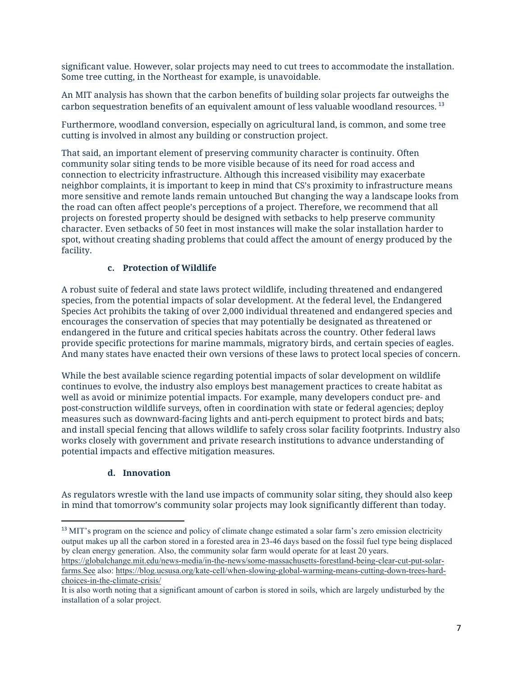significant value. However, solar projects may need to cut trees to accommodate the installation. Some tree cutting, in the Northeast for example, is unavoidable.

An MIT analysis has shown that the carbon benefits of building solar projects far outweighs the carbon sequestration benefits of an equivalent amount of less valuable woodland resources.<sup>13</sup>

Furthermore, woodland conversion, especially on agricultural land, is common, and some tree cutting is involved in almost any building or construction project.

That said, an important element of preserving community character is continuity. Often community solar siting tends to be more visible because of its need for road access and connection to electricity infrastructure. Although this increased visibility may exacerbate neighbor complaints, it is important to keep in mind that CS's proximity to infrastructure means more sensitive and remote lands remain untouched But changing the way a landscape looks from the road can often affect people's perceptions of a project. Therefore, we recommend that all projects on forested property should be designed with setbacks to help preserve community character. Even setbacks of 50 feet in most instances will make the solar installation harder to spot, without creating shading problems that could affect the amount of energy produced by the facility.

#### **c. Protection of Wildlife**

A robust suite of federal and state laws protect wildlife, including threatened and endangered species, from the potential impacts of solar development. At the federal level, the Endangered Species Act prohibits the taking of over 2,000 individual threatened and endangered species and encourages the conservation of species that may potentially be designated as threatened or endangered in the future and critical species habitats across the country. Other federal laws provide specific protections for marine mammals, migratory birds, and certain species of eagles. And many states have enacted their own versions of these laws to protect local species of concern.

While the best available science regarding potential impacts of solar development on wildlife continues to evolve, the industry also employs best management practices to create habitat as well as avoid or minimize potential impacts. For example, many developers conduct pre- and post-construction wildlife surveys, often in coordination with state or federal agencies; deploy measures such as downward-facing lights and anti-perch equipment to protect birds and bats; and install special fencing that allows wildlife to safely cross solar facility footprints. Industry also works closely with government and private research institutions to advance understanding of potential impacts and effective mitigation measures.

#### **d. Innovation**

As regulators wrestle with the land use impacts of community solar siting, they should also keep in mind that tomorrow's community solar projects may look significantly different than today.

<span id="page-7-0"></span><sup>&</sup>lt;sup>13</sup> MIT's program on the science and policy of climate change estimated a solar farm's zero emission electricity output makes up all the carbon stored in a forested area in 23-46 days based on the fossil fuel type being displaced by clean energy generation. Also, the community solar farm would operate for at least 20 years. [https://globalchange.mit.edu/news-media/in-the-news/some-massachusetts-forestland-being-clear-cut-put-solar-](https://globalchange.mit.edu/news-media/in-the-news/some-massachusetts-forestland-being-clear-cut-put-solar-farms.See)

[farms.See](https://globalchange.mit.edu/news-media/in-the-news/some-massachusetts-forestland-being-clear-cut-put-solar-farms.See) also[: https://blog.ucsusa.org/kate-cell/when-slowing-global-warming-means-cutting-down-trees-hard](https://blog.ucsusa.org/kate-cell/when-slowing-global-warming-means-cutting-down-trees-hard-choices-in-the-climate-crisis/)[choices-in-the-climate-crisis/](https://blog.ucsusa.org/kate-cell/when-slowing-global-warming-means-cutting-down-trees-hard-choices-in-the-climate-crisis/)

It is also worth noting that a significant amount of carbon is stored in soils, which are largely undisturbed by the installation of a solar project.